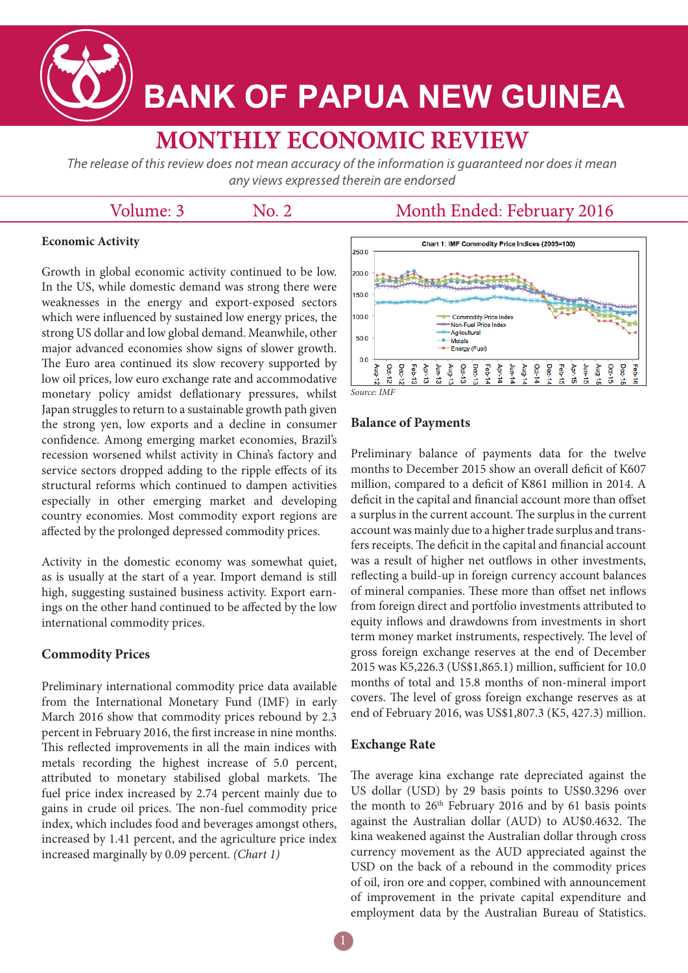

# **BANK OF PAPUA NEW GUINEA**

## **MONTHLY ECONOMIC REVIEW**

The release of this review does not mean accuracy of the information is guaranteed nor does it mean any views expressed therein are endorsed

#### Volume: 3

No. 2

### Month Ended: February 2016

#### **Economic Activity**

Growth in global economic activity continued to be low. In the US, while domestic demand was strong there were weaknesses in the energy and export-exposed sectors which were influenced by sustained low energy prices, the strong US dollar and low global demand. Meanwhile, other major advanced economies show signs of slower growth. The Euro area continued its slow recovery supported by low oil prices, low euro exchange rate and accommodative monetary policy amidst deflationary pressures, whilst Japan struggles to return to a sustainable growth path given the strong yen, low exports and a decline in consumer confidence. Among emerging market economies, Brazil's recession worsened whilst activity in China's factory and service sectors dropped adding to the ripple effects of its structural reforms which continued to dampen activities especially in other emerging market and developing country economies. Most commodity export regions are affected by the prolonged depressed commodity prices.

Activity in the domestic economy was somewhat quiet, as is usually at the start of a year. Import demand is still high, suggesting sustained business activity. Export earnings on the other hand continued to be affected by the low international commodity prices.

#### **Commodity Prices**

Preliminary international commodity price data available from the International Monetary Fund (IMF) in early March 2016 show that commodity prices rebound by 2.3 percent in February 2016, the first increase in nine months. This reflected improvements in all the main indices with metals recording the highest increase of 5.0 percent, attributed to monetary stabilised global markets. The fuel price index increased by 2.74 percent mainly due to gains in crude oil prices. The non-fuel commodity price index, which includes food and beverages amongst others, increased by 1.41 percent, and the agriculture price index increased marginally by 0.09 percent. *(Chart 1)*



#### **Balance of Payments**

Preliminary balance of payments data for the twelve months to December 2015 show an overall deficit of K607 million, compared to a deficit of K861 million in 2014. A deficit in the capital and financial account more than offset a surplus in the current account. The surplus in the current account was mainly due to a higher trade surplus and transfers receipts. The deficit in the capital and financial account was a result of higher net outflows in other investments, reflecting a build-up in foreign currency account balances of mineral companies. These more than offset net inflows from foreign direct and portfolio investments attributed to equity inflows and drawdowns from investments in short term money market instruments, respectively. The level of gross foreign exchange reserves at the end of December 2015 was K5,226.3 (US\$1,865.1) million, sufficient for 10.0 months of total and 15.8 months of non-mineral import covers. The level of gross foreign exchange reserves as at end of February 2016, was US\$1,807.3 (K5, 427.3) million.

#### **Exchange Rate**

The average kina exchange rate depreciated against the US dollar (USD) by 29 basis points to US\$0.3296 over the month to  $26<sup>th</sup>$  February 2016 and by 61 basis points against the Australian dollar (AUD) to AU\$0.4632. The kina weakened against the Australian dollar through cross currency movement as the AUD appreciated against the USD on the back of a rebound in the commodity prices of oil, iron ore and copper, combined with announcement of improvement in the private capital expenditure and employment data by the Australian Bureau of Statistics.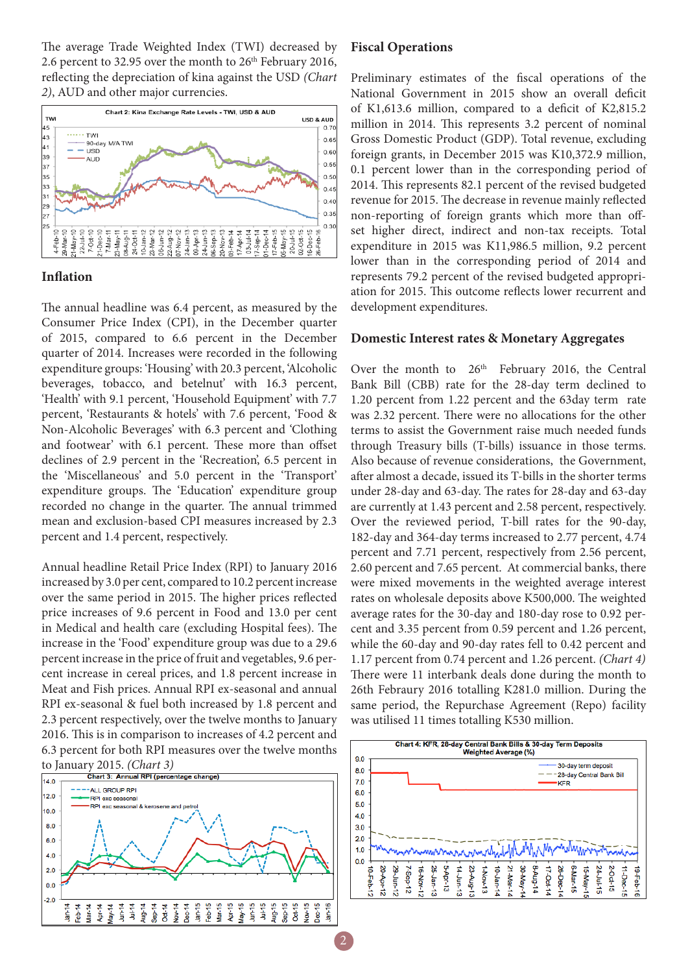The average Trade Weighted Index (TWI) decreased by 2.6 percent to 32.95 over the month to  $26<sup>th</sup>$  February 2016, reflecting the depreciation of kina against the USD *(Chart 2)*, AUD and other major currencies.



#### **Inflation**

The annual headline was 6.4 percent, as measured by the Consumer Price Index (CPI), in the December quarter of 2015, compared to 6.6 percent in the December quarter of 2014. Increases were recorded in the following expenditure groups: 'Housing' with 20.3 percent, 'Alcoholic beverages, tobacco, and betelnut' with 16.3 percent, 'Health' with 9.1 percent, 'Household Equipment' with 7.7 percent, 'Restaurants & hotels' with 7.6 percent, 'Food & Non-Alcoholic Beverages' with 6.3 percent and 'Clothing and footwear' with 6.1 percent. These more than offset declines of 2.9 percent in the 'Recreation', 6.5 percent in the 'Miscellaneous' and 5.0 percent in the 'Transport' expenditure groups. The 'Education' expenditure group recorded no change in the quarter. The annual trimmed mean and exclusion-based CPI measures increased by 2.3 percent and 1.4 percent, respectively.

Annual headline Retail Price Index (RPI) to January 2016 increased by 3.0 per cent, compared to 10.2 percent increase over the same period in 2015. The higher prices reflected price increases of 9.6 percent in Food and 13.0 per cent in Medical and health care (excluding Hospital fees). The increase in the 'Food' expenditure group was due to a 29.6 percent increase in the price of fruit and vegetables, 9.6 percent increase in cereal prices, and 1.8 percent increase in Meat and Fish prices. Annual RPI ex-seasonal and annual RPI ex-seasonal & fuel both increased by 1.8 percent and 2.3 percent respectively, over the twelve months to January 2016. This is in comparison to increases of 4.2 percent and 6.3 percent for both RPI measures over the twelve months



#### **Fiscal Operations**

Preliminary estimates of the fiscal operations of the National Government in 2015 show an overall deficit of K1,613.6 million, compared to a deficit of K2,815.2 million in 2014. This represents 3.2 percent of nominal Gross Domestic Product (GDP). Total revenue, excluding foreign grants, in December 2015 was K10,372.9 million, 0.1 percent lower than in the corresponding period of 2014. This represents 82.1 percent of the revised budgeted revenue for 2015. The decrease in revenue mainly reflected non-reporting of foreign grants which more than offset higher direct, indirect and non-tax receipts. Total expenditure in 2015 was K11,986.5 million, 9.2 percent lower than in the corresponding period of 2014 and represents 79.2 percent of the revised budgeted appropriation for 2015. This outcome reflects lower recurrent and development expenditures.

#### **Domestic Interest rates & Monetary Aggregates**

Over the month to  $26<sup>th</sup>$  February 2016, the Central Bank Bill (CBB) rate for the 28-day term declined to 1.20 percent from 1.22 percent and the 63day term rate was 2.32 percent. There were no allocations for the other terms to assist the Government raise much needed funds through Treasury bills (T-bills) issuance in those terms. Also because of revenue considerations, the Government, after almost a decade, issued its T-bills in the shorter terms under 28-day and 63-day. The rates for 28-day and 63-day are currently at 1.43 percent and 2.58 percent, respectively. Over the reviewed period, T-bill rates for the 90-day, 182-day and 364-day terms increased to 2.77 percent, 4.74 percent and 7.71 percent, respectively from 2.56 percent, 2.60 percent and 7.65 percent. At commercial banks, there were mixed movements in the weighted average interest rates on wholesale deposits above K500,000. The weighted average rates for the 30-day and 180-day rose to 0.92 percent and 3.35 percent from 0.59 percent and 1.26 percent, while the 60-day and 90-day rates fell to 0.42 percent and 1.17 percent from 0.74 percent and 1.26 percent. *(Chart 4)* There were 11 interbank deals done during the month to 26th Febraury 2016 totalling K281.0 million. During the same period, the Repurchase Agreement (Repo) facility was utilised 11 times totalling K530 million.

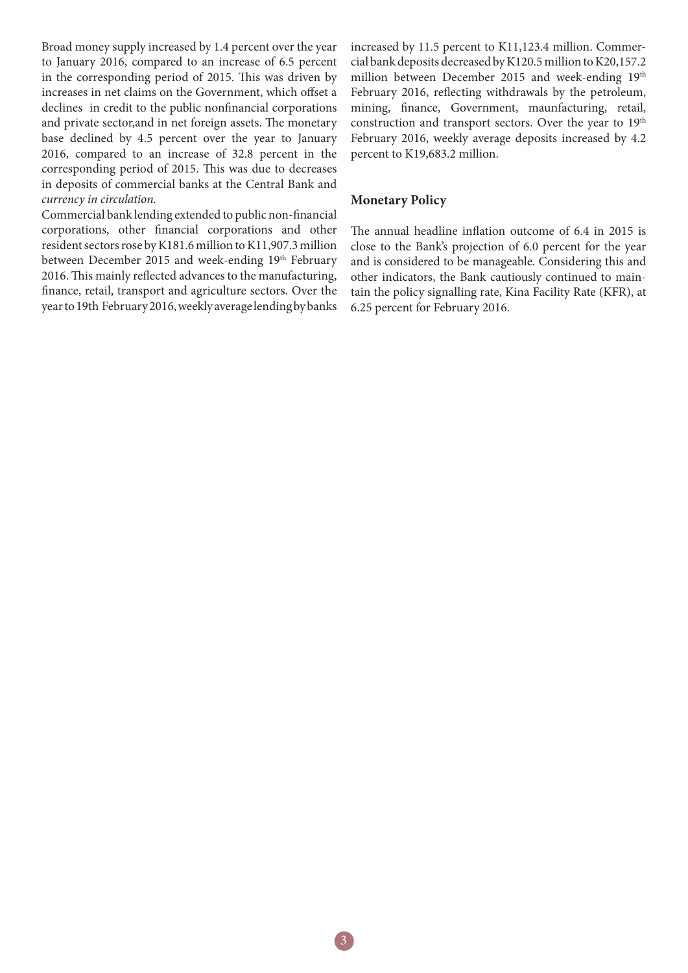Broad money supply increased by 1.4 percent over the year to January 2016, compared to an increase of 6.5 percent in the corresponding period of 2015. This was driven by increases in net claims on the Government, which offset a declines in credit to the public nonfinancial corporations and private sector,and in net foreign assets. The monetary base declined by 4.5 percent over the year to January 2016, compared to an increase of 32.8 percent in the corresponding period of 2015. This was due to decreases in deposits of commercial banks at the Central Bank and *currency in circulation.*

Commercial bank lending extended to public non-financial corporations, other financial corporations and other resident sectors rose by K181.6 million to K11,907.3 million between December 2015 and week-ending 19th February 2016. This mainly reflected advances to the manufacturing, finance, retail, transport and agriculture sectors. Over the year to 19th February 2016, weekly average lending by banks

increased by 11.5 percent to K11,123.4 million. Commercial bank deposits decreased by K120.5 million to K20,157.2 million between December 2015 and week-ending 19th February 2016, reflecting withdrawals by the petroleum, mining, finance, Government, maunfacturing, retail, construction and transport sectors. Over the year to 19<sup>th</sup> February 2016, weekly average deposits increased by 4.2 percent to K19,683.2 million.

#### **Monetary Policy**

The annual headline inflation outcome of 6.4 in 2015 is close to the Bank's projection of 6.0 percent for the year and is considered to be manageable. Considering this and other indicators, the Bank cautiously continued to maintain the policy signalling rate, Kina Facility Rate (KFR), at 6.25 percent for February 2016.